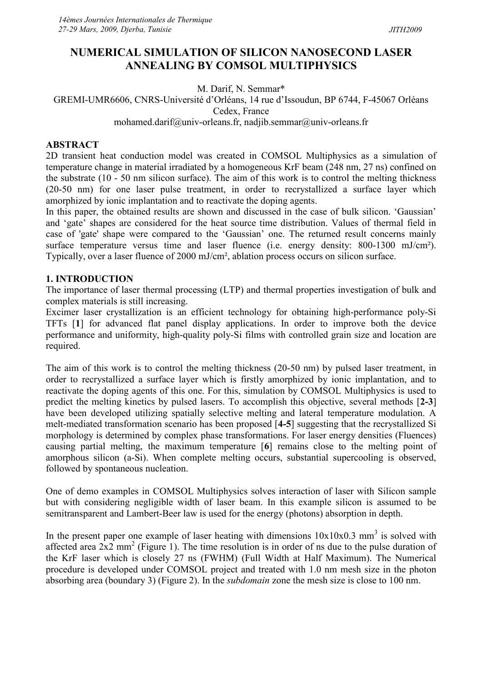# NUMERICAL SIMULATION OF SILICON NANOSECOND LASER ANNEALING BY COMSOL MULTIPHYSICS

M. Darif, N. Semmar\*

# GREMI-UMR6606, CNRS-Université d'Orléans, 14 rue d'Issoudun, BP 6744, F-45067 Orléans Cedex, France

## mohamed.darif@univ-orleans.fr, nadjib.semmar@univ-orleans.fr

### ABSTRACT

2D transient heat conduction model was created in COMSOL Multiphysics as a simulation of temperature change in material irradiated by a homogeneous KrF beam (248 nm, 27 ns) confined on the substrate (10 - 50 nm silicon surface). The aim of this work is to control the melting thickness (20-50 nm) for one laser pulse treatment, in order to recrystallized a surface layer which amorphized by ionic implantation and to reactivate the doping agents.

In this paper, the obtained results are shown and discussed in the case of bulk silicon. 'Gaussian' and 'gate' shapes are considered for the heat source time distribution. Values of thermal field in case of 'gate' shape were compared to the 'Gaussian' one. The returned result concerns mainly surface temperature versus time and laser fluence (i.e. energy density: 800-1300 mJ/cm²). Typically, over a laser fluence of 2000 mJ/cm², ablation process occurs on silicon surface.

### 1. INTRODUCTION

The importance of laser thermal processing (LTP) and thermal properties investigation of bulk and complex materials is still increasing.

Excimer laser crystallization is an efficient technology for obtaining high-performance poly-Si TFTs [1] for advanced flat panel display applications. In order to improve both the device performance and uniformity, high-quality poly-Si films with controlled grain size and location are required.

The aim of this work is to control the melting thickness (20-50 nm) by pulsed laser treatment, in order to recrystallized a surface layer which is firstly amorphized by ionic implantation, and to reactivate the doping agents of this one. For this, simulation by COMSOL Multiphysics is used to predict the melting kinetics by pulsed lasers. To accomplish this objective, several methods [2-3] have been developed utilizing spatially selective melting and lateral temperature modulation. A melt-mediated transformation scenario has been proposed [4-5] suggesting that the recrystallized Si morphology is determined by complex phase transformations. For laser energy densities (Fluences) causing partial melting, the maximum temperature [6] remains close to the melting point of amorphous silicon (a-Si). When complete melting occurs, substantial supercooling is observed, followed by spontaneous nucleation.

One of demo examples in COMSOL Multiphysics solves interaction of laser with Silicon sample but with considering negligible width of laser beam. In this example silicon is assumed to be semitransparent and Lambert-Beer law is used for the energy (photons) absorption in depth.

In the present paper one example of laser heating with dimensions  $10x10x0.3$  mm<sup>3</sup> is solved with affected area  $2x^2$  mm<sup>2</sup> (Figure 1). The time resolution is in order of ns due to the pulse duration of the KrF laser which is closely 27 ns (FWHM) (Full Width at Half Maximum). The Numerical procedure is developed under COMSOL project and treated with 1.0 nm mesh size in the photon absorbing area (boundary 3) (Figure 2). In the subdomain zone the mesh size is close to 100 nm.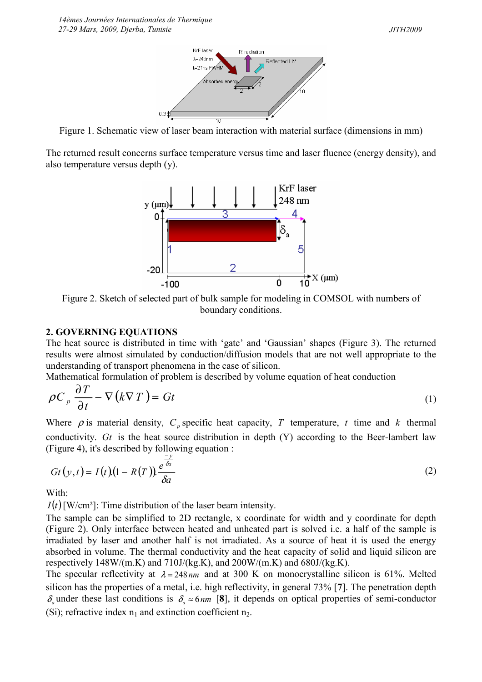

Figure 1. Schematic view of laser beam interaction with material surface (dimensions in mm)

The returned result concerns surface temperature versus time and laser fluence (energy density), and also temperature versus depth (y).



Figure 2. Sketch of selected part of bulk sample for modeling in COMSOL with numbers of boundary conditions.

#### 2. GOVERNING EQUATIONS

The heat source is distributed in time with 'gate' and 'Gaussian' shapes (Figure 3). The returned results were almost simulated by conduction/diffusion models that are not well appropriate to the understanding of transport phenomena in the case of silicon.

Mathematical formulation of problem is described by volume equation of heat conduction

$$
\rho C_p \frac{\partial T}{\partial t} - \nabla (k \nabla T) = Gt \tag{1}
$$

Where  $\rho$  is material density,  $C_p$  specific heat capacity, T temperature, t time and k thermal conductivity. Gt is the heat source distribution in depth  $(Y)$  according to the Beer-lambert law (Figure 4), it's described by following equation : y −

$$
Gt(y,t) = I(t)(1 - R(T)) \frac{e^{\overline{\delta a}}}{\delta a}
$$
 (2)

With:

 $I(t)$ [W/cm<sup>2</sup>]: Time distribution of the laser beam intensity.

The sample can be simplified to 2D rectangle, x coordinate for width and y coordinate for depth (Figure 2). Only interface between heated and unheated part is solved i.e. a half of the sample is irradiated by laser and another half is not irradiated. As a source of heat it is used the energy absorbed in volume. The thermal conductivity and the heat capacity of solid and liquid silicon are respectively  $148W/(m.K)$  and  $710J/(kg.K)$ , and  $200W/(m.K)$  and  $680J/(kg.K)$ .

The specular reflectivity at  $\lambda = 248 \text{ nm}$  and at 300 K on monocrystalline silicon is 61%. Melted silicon has the properties of a metal, i.e. high reflectivity, in general 73% [7]. The penetration depth  $\delta_a$  under these last conditions is  $\delta_a \approx 6$  nm [8], it depends on optical properties of semi-conductor (Si); refractive index  $n_1$  and extinction coefficient  $n_2$ .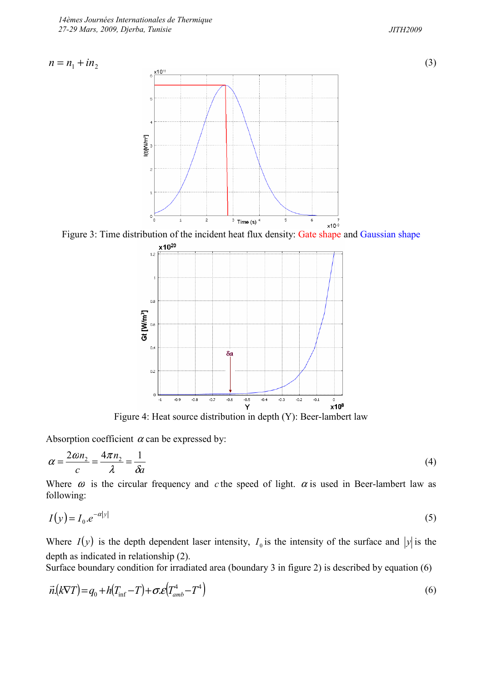



(3)



Figure 3: Time distribution of the incident heat flux density: Gate shape and Gaussian shape



Figure 4: Heat source distribution in depth (Y): Beer-lambert law

Absorption coefficient  $\alpha$  can be expressed by:

$$
\alpha = \frac{2\omega n_2}{c} = \frac{4\pi n_2}{\lambda} = \frac{1}{\delta a} \tag{4}
$$

Where  $\omega$  is the circular frequency and c the speed of light.  $\alpha$  is used in Beer-lambert law as following:

$$
I(y) = I_0 e^{-\alpha |y|} \tag{5}
$$

Where  $I(y)$  is the depth dependent laser intensity,  $I_0$  is the intensity of the surface and  $|y|$  is the depth as indicated in relationship (2).

Surface boundary condition for irradiated area (boundary 3 in figure 2) is described by equation (6)

$$
\vec{n}.\left(k\nabla T\right) = q_0 + h\left(T_{\text{inf}} - T\right) + \sigma \mathcal{L}\left(T_{\text{amb}}^4 - T^4\right) \tag{6}
$$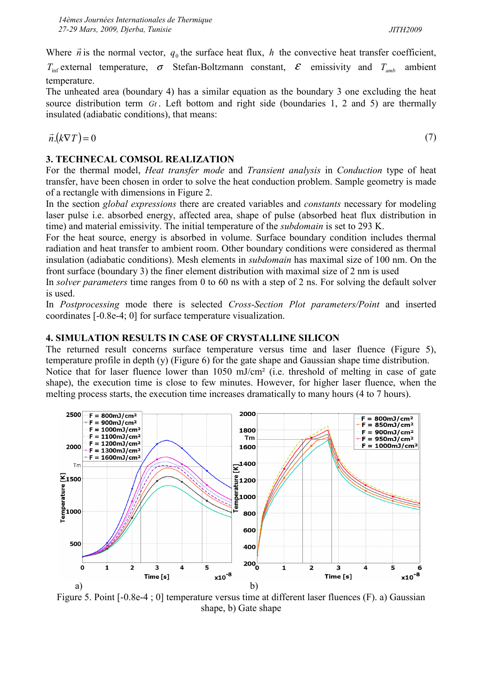Where  $\vec{n}$  $\rightarrow$ is the normal vector,  $q_0$  the surface heat flux, h the convective heat transfer coefficient,

 $T_{\text{inf}}$  external temperature,  $\sigma$  Stefan-Boltzmann constant,  $\mathcal{E}$  emissivity and  $T_{\text{amb}}$  ambient temperature.

The unheated area (boundary 4) has a similar equation as the boundary 3 one excluding the heat source distribution term  $G_t$ . Left bottom and right side (boundaries 1, 2 and 5) are thermally insulated (adiabatic conditions), that means:

$$
\vec{n}.\big(k\nabla T\big)=0
$$

## 3. TECHNECAL COMSOL REALIZATION

For the thermal model, Heat transfer mode and Transient analysis in Conduction type of heat transfer, have been chosen in order to solve the heat conduction problem. Sample geometry is made of a rectangle with dimensions in Figure 2.

In the section *global expressions* there are created variables and *constants* necessary for modeling laser pulse i.e. absorbed energy, affected area, shape of pulse (absorbed heat flux distribution in time) and material emissivity. The initial temperature of the subdomain is set to 293 K.

For the heat source, energy is absorbed in volume. Surface boundary condition includes thermal radiation and heat transfer to ambient room. Other boundary conditions were considered as thermal insulation (adiabatic conditions). Mesh elements in subdomain has maximal size of 100 nm. On the front surface (boundary 3) the finer element distribution with maximal size of 2 nm is used

In *solver parameters* time ranges from 0 to 60 ns with a step of 2 ns. For solving the default solver is used.

In Postprocessing mode there is selected Cross-Section Plot parameters/Point and inserted coordinates [-0.8e-4; 0] for surface temperature visualization.

## 4. SIMULATION RESULTS IN CASE OF CRYSTALLINE SILICON

The returned result concerns surface temperature versus time and laser fluence (Figure 5), temperature profile in depth (y) (Figure 6) for the gate shape and Gaussian shape time distribution. Notice that for laser fluence lower than 1050 mJ/cm² (i.e. threshold of melting in case of gate shape), the execution time is close to few minutes. However, for higher laser fluence, when the



Figure 5. Point [-0.8e-4 ; 0] temperature versus time at different laser fluences (F). a) Gaussian shape, b) Gate shape

(7)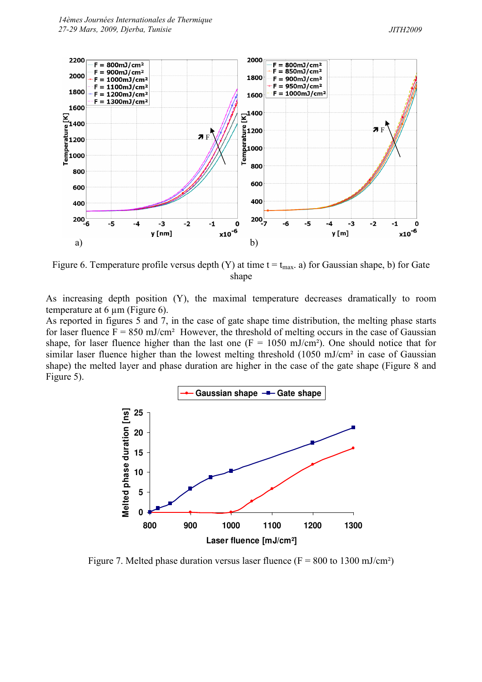

Figure 6. Temperature profile versus depth (Y) at time  $t = t_{max}$ . a) for Gaussian shape, b) for Gate shape

As increasing depth position (Y), the maximal temperature decreases dramatically to room temperature at 6  $\mu$ m (Figure 6).

As reported in figures 5 and 7, in the case of gate shape time distribution, the melting phase starts for laser fluence  $F = 850$  mJ/cm<sup>2</sup> However, the threshold of melting occurs in the case of Gaussian shape, for laser fluence higher than the last one  $(F = 1050 \text{ mJ/cm}^2)$ . One should notice that for similar laser fluence higher than the lowest melting threshold (1050 mJ/cm<sup>2</sup> in case of Gaussian shape) the melted layer and phase duration are higher in the case of the gate shape (Figure 8 and Figure 5).



Figure 7. Melted phase duration versus laser fluence ( $F = 800$  to 1300 mJ/cm<sup>2</sup>)